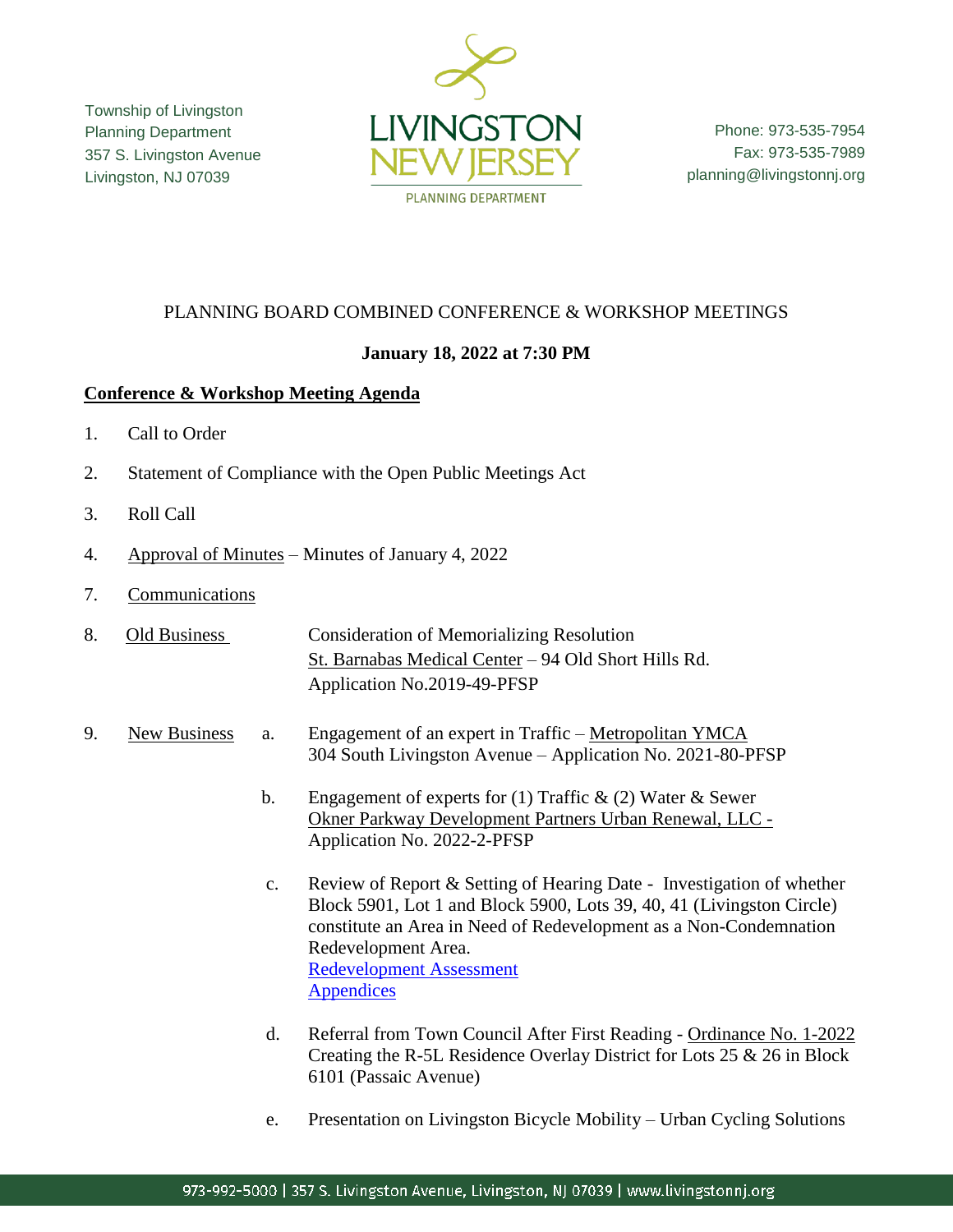Township of Livingston Planning Department 357 S. Livingston Avenue Livingston, NJ 07039



Phone: 973-535-7954 Fax: 973-535-7989 planning@livingstonnj.org

## PLANNING BOARD COMBINED CONFERENCE & WORKSHOP MEETINGS

## **January 18, 2022 at 7:30 PM**

## **Conference & Workshop Meeting Agenda**

- 1. Call to Order
- 2. Statement of Compliance with the Open Public Meetings Act
- 3. Roll Call
- 4. Approval of Minutes Minutes of January 4, 2022
- 7. Communications
- 8. Old Business Consideration of Memorializing Resolution St. Barnabas Medical Center – 94 Old Short Hills Rd. Application No.2019-49-PFSP
- 9. New Business a. Engagement of an expert in Traffic Metropolitan YMCA 304 South Livingston Avenue – Application No. 2021-80-PFSP
	- b. Engagement of experts for (1) Traffic  $\&$  (2) Water  $\&$  Sewer Okner Parkway Development Partners Urban Renewal, LLC - Application No. 2022-2-PFSP
	- c. Review of Report & Setting of Hearing Date Investigation of whether Block 5901, Lot 1 and Block 5900, Lots 39, 40, 41 (Livingston Circle) constitute an Area in Need of Redevelopment as a Non-Condemnation Redevelopment Area. [Redevelopment Assessment](http://livingstonnj.org/DocumentCenter/View/13118/Livingston---Circle---Redevelopment-Assessment-01-2022-Draft-v6) **[Appendices](http://livingstonnj.org/DocumentCenter/View/13117/Livingston-Circle-Redevelopment-Assessment---Appendices)**
	- d. Referral from Town Council After First Reading Ordinance No. 1-2022 Creating the R-5L Residence Overlay District for Lots 25 & 26 in Block 6101 (Passaic Avenue)
	- e. Presentation on Livingston Bicycle Mobility Urban Cycling Solutions